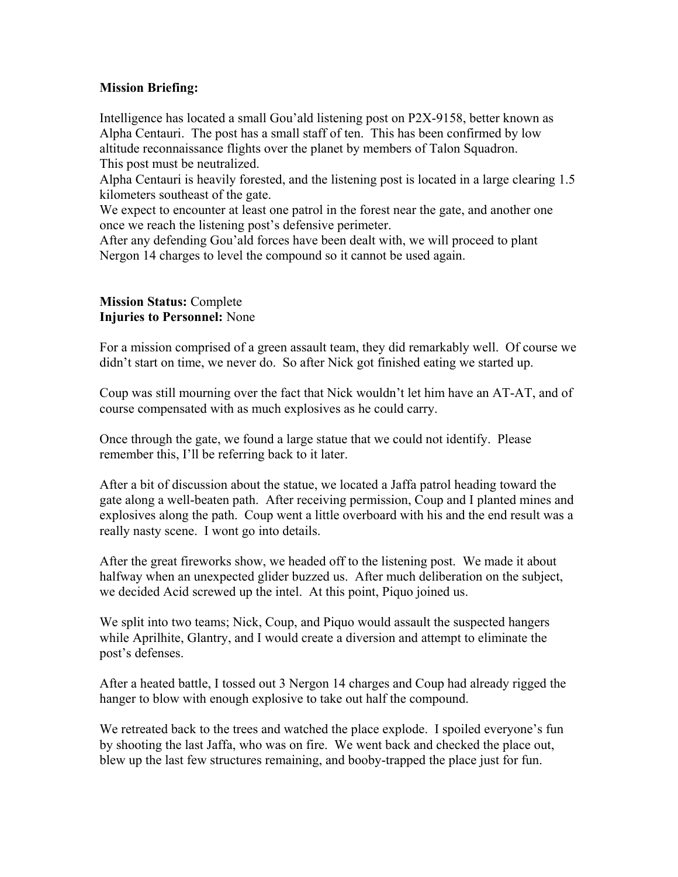## **Mission Briefing:**

Intelligence has located a small Gou'ald listening post on P2X-9158, better known as Alpha Centauri. The post has a small staff of ten. This has been confirmed by low altitude reconnaissance flights over the planet by members of Talon Squadron. This post must be neutralized.

Alpha Centauri is heavily forested, and the listening post is located in a large clearing 1.5 kilometers southeast of the gate.

We expect to encounter at least one patrol in the forest near the gate, and another one once we reach the listening post's defensive perimeter.

After any defending Gou'ald forces have been dealt with, we will proceed to plant Nergon 14 charges to level the compound so it cannot be used again.

## **Mission Status:** Complete **Injuries to Personnel:** None

For a mission comprised of a green assault team, they did remarkably well. Of course we didn't start on time, we never do. So after Nick got finished eating we started up.

Coup was still mourning over the fact that Nick wouldn't let him have an AT-AT, and of course compensated with as much explosives as he could carry.

Once through the gate, we found a large statue that we could not identify. Please remember this, I'll be referring back to it later.

After a bit of discussion about the statue, we located a Jaffa patrol heading toward the gate along a well-beaten path. After receiving permission, Coup and I planted mines and explosives along the path. Coup went a little overboard with his and the end result was a really nasty scene. I wont go into details.

After the great fireworks show, we headed off to the listening post. We made it about halfway when an unexpected glider buzzed us. After much deliberation on the subject, we decided Acid screwed up the intel. At this point, Piquo joined us.

We split into two teams; Nick, Coup, and Piquo would assault the suspected hangers while Aprilhite, Glantry, and I would create a diversion and attempt to eliminate the post's defenses.

After a heated battle, I tossed out 3 Nergon 14 charges and Coup had already rigged the hanger to blow with enough explosive to take out half the compound.

We retreated back to the trees and watched the place explode. I spoiled everyone's fun by shooting the last Jaffa, who was on fire. We went back and checked the place out, blew up the last few structures remaining, and booby-trapped the place just for fun.